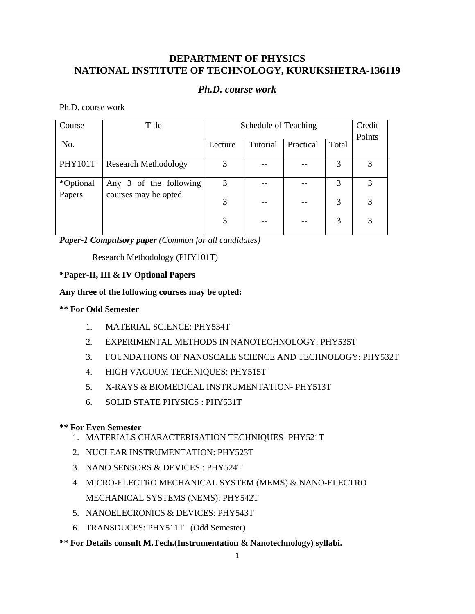# **DEPARTMENT OF PHYSICS NATIONAL INSTITUTE OF TECHNOLOGY, KURUKSHETRA-136119**

## *Ph.D. course work*

Ph.D. course work

| Course         | Title                       | Schedule of Teaching |          |           | Credit |        |
|----------------|-----------------------------|----------------------|----------|-----------|--------|--------|
| No.            |                             | Lecture              | Tutorial | Practical | Total  | Points |
| <b>PHY101T</b> | <b>Research Methodology</b> | 3                    |          |           | 3      | 3      |
| *Optional      | Any 3 of the following      | 3                    |          |           | 3      | 3      |
| Papers         | courses may be opted        | 3                    |          |           | 3      | 3      |
|                |                             | 3                    |          |           | 3      |        |

*Paper-1 Compulsory paper (Common for all candidates)* 

Research Methodology (PHY101T)

### **\*Paper-II, III & IV Optional Papers**

### **Any three of the following courses may be opted:**

### **\*\* For Odd Semester**

- 1. MATERIAL SCIENCE: PHY534T
- 2. EXPERIMENTAL METHODS IN NANOTECHNOLOGY: PHY535T
- 3. FOUNDATIONS OF NANOSCALE SCIENCE AND TECHNOLOGY: PHY532T
- 4. HIGH VACUUM TECHNIQUES: PHY515T
- 5. X-RAYS & BIOMEDICAL INSTRUMENTATION- PHY513T
- 6. SOLID STATE PHYSICS : PHY531T

### **\*\* For Even Semester**

- 1. MATERIALS CHARACTERISATION TECHNIQUES- PHY521T
- 2. NUCLEAR INSTRUMENTATION: PHY523T
- 3. NANO SENSORS & DEVICES : PHY524T
- 4. MICRO-ELECTRO MECHANICAL SYSTEM (MEMS) & NANO-ELECTRO MECHANICAL SYSTEMS (NEMS): PHY542T
- 5. NANOELECRONICS & DEVICES: PHY543T
- 6. TRANSDUCES: PHY511T (Odd Semester)
- **\*\* For Details consult M.Tech.(Instrumentation & Nanotechnology) syllabi.**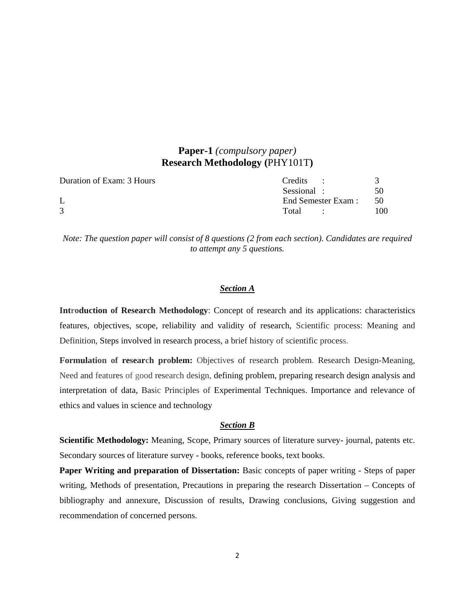# **Paper-1** *(compulsory paper)*  **Research Methodology (**PHY101T**)**

| Duration of Exam: 3 Hours | Credits :                         |     |
|---------------------------|-----------------------------------|-----|
|                           | Sessional :                       | 50  |
|                           | End Semester Exam:                | -50 |
|                           | Total<br><b>Contract Contract</b> | 100 |

*Note: The question paper will consist of 8 questions (2 from each section). Candidates are required to attempt any 5 questions.* 

#### *Section A*

**Introduction of Research Methodology**: Concept of research and its applications: characteristics features, objectives, scope, reliability and validity of research, Scientific process: Meaning and Definition, Steps involved in research process, a brief history of scientific process.

**Formulation of research problem:** Objectives of research problem. Research Design-Meaning, Need and features of good research design, defining problem, preparing research design analysis and interpretation of data, Basic Principles of Experimental Techniques. Importance and relevance of ethics and values in science and technology

#### *Section B*

**Scientific Methodology:** Meaning, Scope, Primary sources of literature survey- journal, patents etc. Secondary sources of literature survey - books, reference books, text books.

**Paper Writing and preparation of Dissertation:** Basic concepts of paper writing - Steps of paper writing, Methods of presentation, Precautions in preparing the research Dissertation – Concepts of bibliography and annexure, Discussion of results, Drawing conclusions, Giving suggestion and recommendation of concerned persons.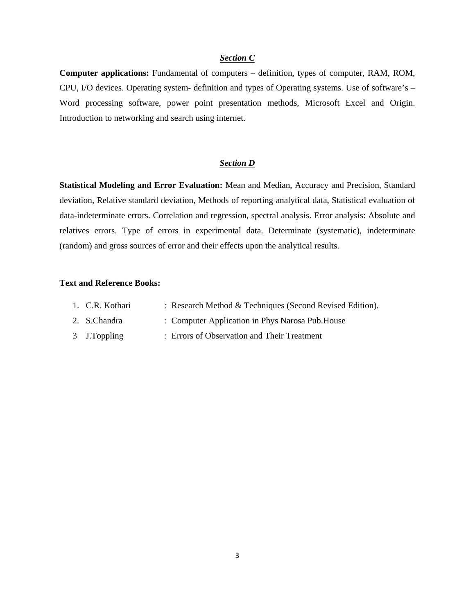#### *Section C*

**Computer applications:** Fundamental of computers – definition, types of computer, RAM, ROM, CPU, I/O devices. Operating system- definition and types of Operating systems. Use of software's – Word processing software, power point presentation methods, Microsoft Excel and Origin. Introduction to networking and search using internet.

#### *Section D*

**Statistical Modeling and Error Evaluation:** Mean and Median, Accuracy and Precision, Standard deviation, Relative standard deviation, Methods of reporting analytical data, Statistical evaluation of data-indeterminate errors. Correlation and regression, spectral analysis. Error analysis: Absolute and relatives errors. Type of errors in experimental data. Determinate (systematic), indeterminate (random) and gross sources of error and their effects upon the analytical results.

#### **Text and Reference Books:**

| 1. C.R. Kothari | : Research Method & Techniques (Second Revised Edition). |
|-----------------|----------------------------------------------------------|
| 2. S.Chandra    | : Computer Application in Phys Narosa Pub. House         |
| 3 J.Toppling    | : Errors of Observation and Their Treatment              |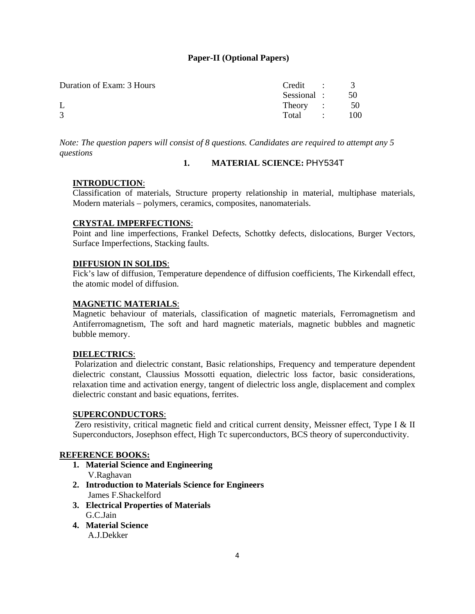### **Paper-II (Optional Papers)**

| Duration of Exam: 3 Hours | $Credit \t 3$  |       |
|---------------------------|----------------|-------|
|                           | Sessional : 50 |       |
|                           | Theory : 50    |       |
| $\mathcal{R}$             | Total :        | - 100 |

*Note: The question papers will consist of 8 questions. Candidates are required to attempt any 5 questions* 

#### **1. MATERIAL SCIENCE:** PHY534T

### **INTRODUCTION**:

Classification of materials, Structure property relationship in material, multiphase materials, Modern materials – polymers, ceramics, composites, nanomaterials.

#### **CRYSTAL IMPERFECTIONS**:

Point and line imperfections, Frankel Defects, Schottky defects, dislocations, Burger Vectors, Surface Imperfections, Stacking faults.

#### **DIFFUSION IN SOLIDS**:

Fick's law of diffusion, Temperature dependence of diffusion coefficients, The Kirkendall effect, the atomic model of diffusion.

#### **MAGNETIC MATERIALS**:

Magnetic behaviour of materials, classification of magnetic materials, Ferromagnetism and Antiferromagnetism, The soft and hard magnetic materials, magnetic bubbles and magnetic bubble memory.

### **DIELECTRICS**:

 Polarization and dielectric constant, Basic relationships, Frequency and temperature dependent dielectric constant, Claussius Mossotti equation, dielectric loss factor, basic considerations, relaxation time and activation energy, tangent of dielectric loss angle, displacement and complex dielectric constant and basic equations, ferrites.

#### **SUPERCONDUCTORS**:

Zero resistivity, critical magnetic field and critical current density, Meissner effect, Type I & II Superconductors, Josephson effect, High Tc superconductors, BCS theory of superconductivity.

#### **REFERENCE BOOKS:**

- **1. Material Science and Engineering**  V.Raghavan
- **2. Introduction to Materials Science for Engineers**  James F.Shackelford
- **3. Electrical Properties of Materials**  G.C.Jain
- **4. Material Science**

A.J.Dekker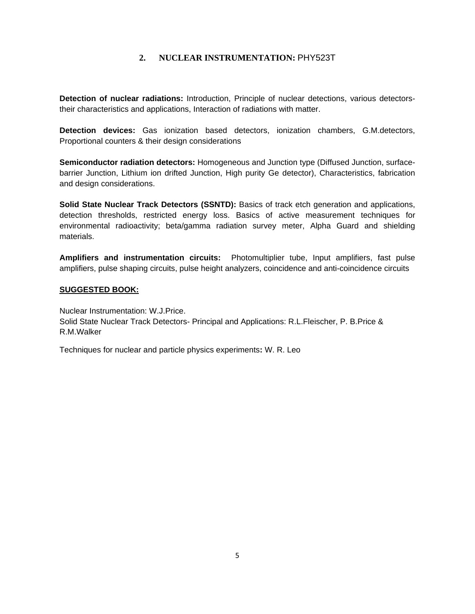### **2. NUCLEAR INSTRUMENTATION:** PHY523T

**Detection of nuclear radiations:** Introduction, Principle of nuclear detections, various detectorstheir characteristics and applications, Interaction of radiations with matter.

**Detection devices:** Gas ionization based detectors, ionization chambers, G.M.detectors, Proportional counters & their design considerations

**Semiconductor radiation detectors:** Homogeneous and Junction type (Diffused Junction, surfacebarrier Junction, Lithium ion drifted Junction, High purity Ge detector), Characteristics, fabrication and design considerations.

**Solid State Nuclear Track Detectors (SSNTD):** Basics of track etch generation and applications, detection thresholds, restricted energy loss. Basics of active measurement techniques for environmental radioactivity; beta/gamma radiation survey meter, Alpha Guard and shielding materials.

**Amplifiers and instrumentation circuits:** Photomultiplier tube, Input amplifiers, fast pulse amplifiers, pulse shaping circuits, pulse height analyzers, coincidence and anti-coincidence circuits

#### **SUGGESTED BOOK:**

Nuclear Instrumentation: W.J.Price. Solid State Nuclear Track Detectors- Principal and Applications: R.L.Fleischer, P. B.Price & R.M.Walker

Techniques for nuclear and particle physics experiments**:** W. R. Leo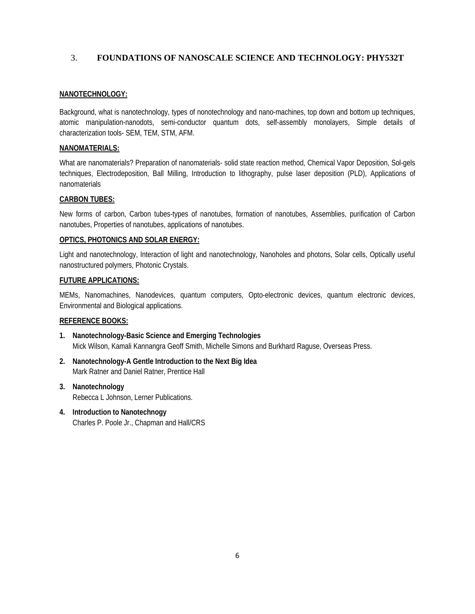### 3. **FOUNDATIONS OF NANOSCALE SCIENCE AND TECHNOLOGY: PHY532T**

#### **NANOTECHNOLOGY:**

Background, what is nanotechnology, types of nonotechnology and nano-machines, top down and bottom up techniques, atomic manipulation-nanodots, semi-conductor quantum dots, self-assembly monolayers, Simple details of characterization tools- SEM, TEM, STM, AFM.

#### **NANOMATERIALS:**

What are nanomaterials? Preparation of nanomaterials- solid state reaction method, Chemical Vapor Deposition, Sol-gels techniques, Electrodeposition, Ball Milling, Introduction to lithography, pulse laser deposition (PLD), Applications of nanomaterials

### **CARBON TUBES:**

New forms of carbon, Carbon tubes-types of nanotubes, formation of nanotubes, Assemblies, purification of Carbon nanotubes, Properties of nanotubes, applications of nanotubes.

#### **OPTICS, PHOTONICS AND SOLAR ENERGY:**

Light and nanotechnology, Interaction of light and nanotechnology, Nanoholes and photons, Solar cells, Optically useful nanostructured polymers, Photonic Crystals.

#### **FUTURE APPLICATIONS:**

MEMs, Nanomachines, Nanodevices, quantum computers, Opto-electronic devices, quantum electronic devices, Environmental and Biological applications.

#### **REFERENCE BOOKS:**

- **1. Nanotechnology-Basic Science and Emerging Technologies**  Mick Wilson, Kamali Kannangra Geoff Smith, Michelle Simons and Burkhard Raguse, Overseas Press.
- **2. Nanotechnology-A Gentle Introduction to the Next Big Idea**  Mark Ratner and Daniel Ratner, Prentice Hall
- **3. Nanotechnology**  Rebecca L Johnson, Lerner Publications.
- **4. Introduction to Nanotechnogy**  Charles P. Poole Jr., Chapman and Hall/CRS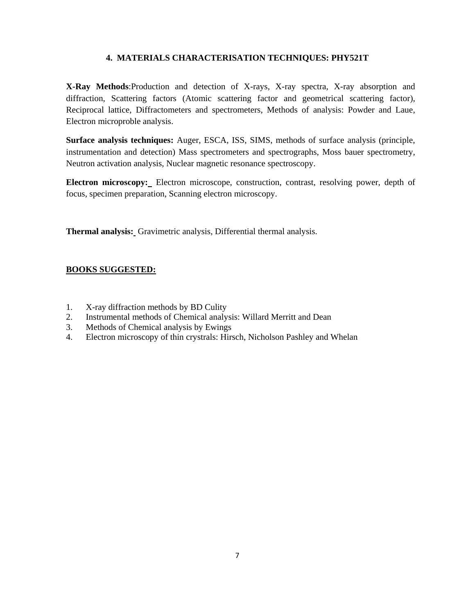### **4. MATERIALS CHARACTERISATION TECHNIQUES: PHY521T**

**X-Ray Methods**:Production and detection of X-rays, X-ray spectra, X-ray absorption and diffraction, Scattering factors (Atomic scattering factor and geometrical scattering factor), Reciprocal lattice, Diffractometers and spectrometers, Methods of analysis: Powder and Laue, Electron microproble analysis.

**Surface analysis techniques:** Auger, ESCA, ISS, SIMS, methods of surface analysis (principle, instrumentation and detection) Mass spectrometers and spectrographs, Moss bauer spectrometry, Neutron activation analysis, Nuclear magnetic resonance spectroscopy.

**Electron microscopy:** Electron microscope, construction, contrast, resolving power, depth of focus, specimen preparation, Scanning electron microscopy.

**Thermal analysis:** Gravimetric analysis, Differential thermal analysis.

### **BOOKS SUGGESTED:**

- 1. X-ray diffraction methods by BD Culity
- 2. Instrumental methods of Chemical analysis: Willard Merritt and Dean
- 3. Methods of Chemical analysis by Ewings
- 4. Electron microscopy of thin crystrals: Hirsch, Nicholson Pashley and Whelan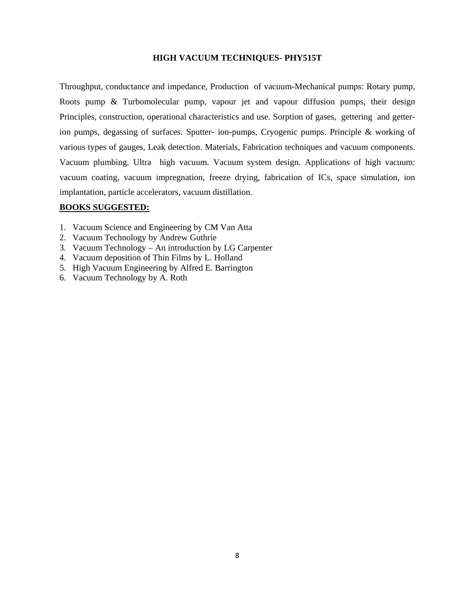#### **HIGH VACUUM TECHNIQUES- PHY515T**

Throughput, conductance and impedance, Production of vacuum-Mechanical pumps: Rotary pump, Roots pump & Turbomolecular pump, vapour jet and vapour diffusion pumps, their design Principles, construction, operational characteristics and use. Sorption of gases, gettering and getterion pumps, degassing of surfaces. Sputter- ion-pumps, Cryogenic pumps. Principle & working of various types of gauges, Leak detection. Materials, Fabrication techniques and vacuum components. Vacuum plumbing. Ultra high vacuum. Vacuum system design. Applications of high vacuum: vacuum coating, vacuum impregnation, freeze drying, fabrication of ICs, space simulation, ion implantation, particle accelerators, vacuum distillation.

#### **BOOKS SUGGESTED:**

- 1. Vacuum Science and Engineering by CM Van Atta
- 2. Vacuum Technology by Andrew Guthrie
- 3. Vacuum Technology An introduction by LG Carpenter
- 4. Vacuum deposition of Thin Films by L. Holland
- 5. High Vacuum Engineering by Alfred E. Barrington
- 6. Vacuum Technology by A. Roth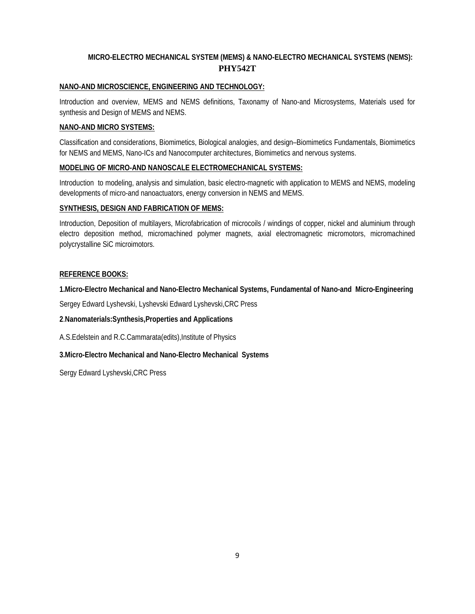## **MICRO-ELECTRO MECHANICAL SYSTEM (MEMS) & NANO-ELECTRO MECHANICAL SYSTEMS (NEMS): PHY542T**

#### **NANO-AND MICROSCIENCE, ENGINEERING AND TECHNOLOGY:**

Introduction and overview, MEMS and NEMS definitions, Taxonamy of Nano-and Microsystems, Materials used for synthesis and Design of MEMS and NEMS.

#### **NANO-AND MICRO SYSTEMS:**

Classification and considerations, Biomimetics, Biological analogies, and design–Biomimetics Fundamentals, Biomimetics for NEMS and MEMS, Nano-ICs and Nanocomputer architectures, Biomimetics and nervous systems.

#### **MODELING OF MICRO-AND NANOSCALE ELECTROMECHANICAL SYSTEMS:**

Introduction to modeling, analysis and simulation, basic electro-magnetic with application to MEMS and NEMS, modeling developments of micro-and nanoactuators, energy conversion in NEMS and MEMS.

#### **SYNTHESIS, DESIGN AND FABRICATION OF MEMS:**

Introduction, Deposition of multilayers, Microfabrication of microcoils / windings of copper, nickel and aluminium through electro deposition method, micromachined polymer magnets, axial electromagnetic micromotors, micromachined polycrystalline SiC microimotors.

#### **REFERENCE BOOKS:**

**1.Micro-Electro Mechanical and Nano-Electro Mechanical Systems, Fundamental of Nano-and Micro-Engineering**

Sergey Edward Lyshevski, Lyshevski Edward Lyshevski,CRC Press

**2**.**Nanomaterials:Synthesis,Properties and Applications** 

A.S.Edelstein and R.C.Cammarata(edits),Institute of Physics

**3.Micro-Electro Mechanical and Nano-Electro Mechanical Systems** 

Sergy Edward Lyshevski,CRC Press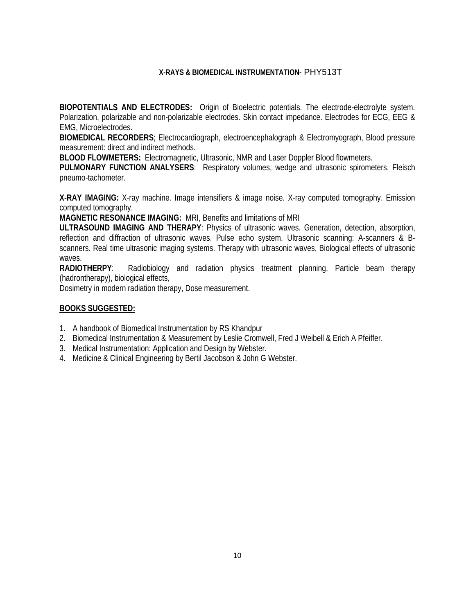### **X-RAYS & BIOMEDICAL INSTRUMENTATION-** PHY513T

**BIOPOTENTIALS AND ELECTRODES:** Origin of Bioelectric potentials. The electrode-electrolyte system. Polarization, polarizable and non-polarizable electrodes. Skin contact impedance. Electrodes for ECG, EEG & EMG, Microelectrodes.

**BIOMEDICAL RECORDERS**; Electrocardiograph, electroencephalograph & Electromyograph, Blood pressure measurement: direct and indirect methods.

**BLOOD FLOWMETERS:** Electromagnetic, Ultrasonic, NMR and Laser Doppler Blood flowmeters.

**PULMONARY FUNCTION ANALYSERS**: Respiratory volumes, wedge and ultrasonic spirometers. Fleisch pneumo-tachometer.

**X-RAY IMAGING:** X-ray machine. Image intensifiers & image noise. X-ray computed tomography. Emission computed tomography.

**MAGNETIC RESONANCE IMAGING:** MRI, Benefits and limitations of MRI

**ULTRASOUND IMAGING AND THERAPY**: Physics of ultrasonic waves. Generation, detection, absorption, reflection and diffraction of ultrasonic waves. Pulse echo system. Ultrasonic scanning: A-scanners & Bscanners. Real time ultrasonic imaging systems. Therapy with ultrasonic waves, Biological effects of ultrasonic waves.

**RADIOTHERPY**: Radiobiology and radiation physics treatment planning, Particle beam therapy (hadrontherapy), biological effects,

Dosimetry in modern radiation therapy, Dose measurement.

#### **BOOKS SUGGESTED:**

- 1. A handbook of Biomedical Instrumentation by RS Khandpur
- 2. Biomedical Instrumentation & Measurement by Leslie Cromwell, Fred J Weibell & Erich A Pfeiffer.
- 3. Medical Instrumentation: Application and Design by Webster.
- 4. Medicine & Clinical Engineering by Bertil Jacobson & John G Webster.